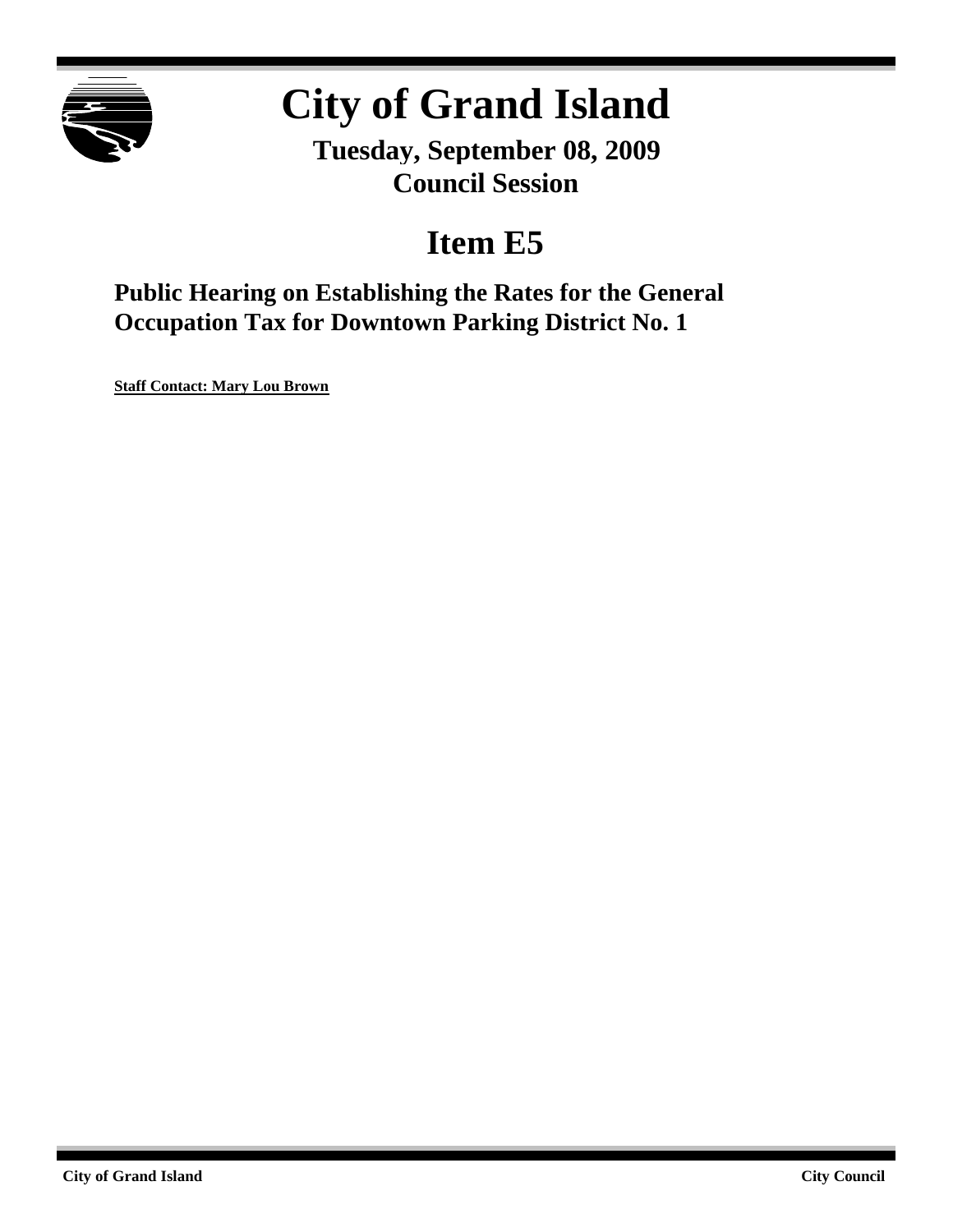

# **City of Grand Island**

**Tuesday, September 08, 2009 Council Session**

# **Item E5**

**Public Hearing on Establishing the Rates for the General Occupation Tax for Downtown Parking District No. 1**

**Staff Contact: Mary Lou Brown**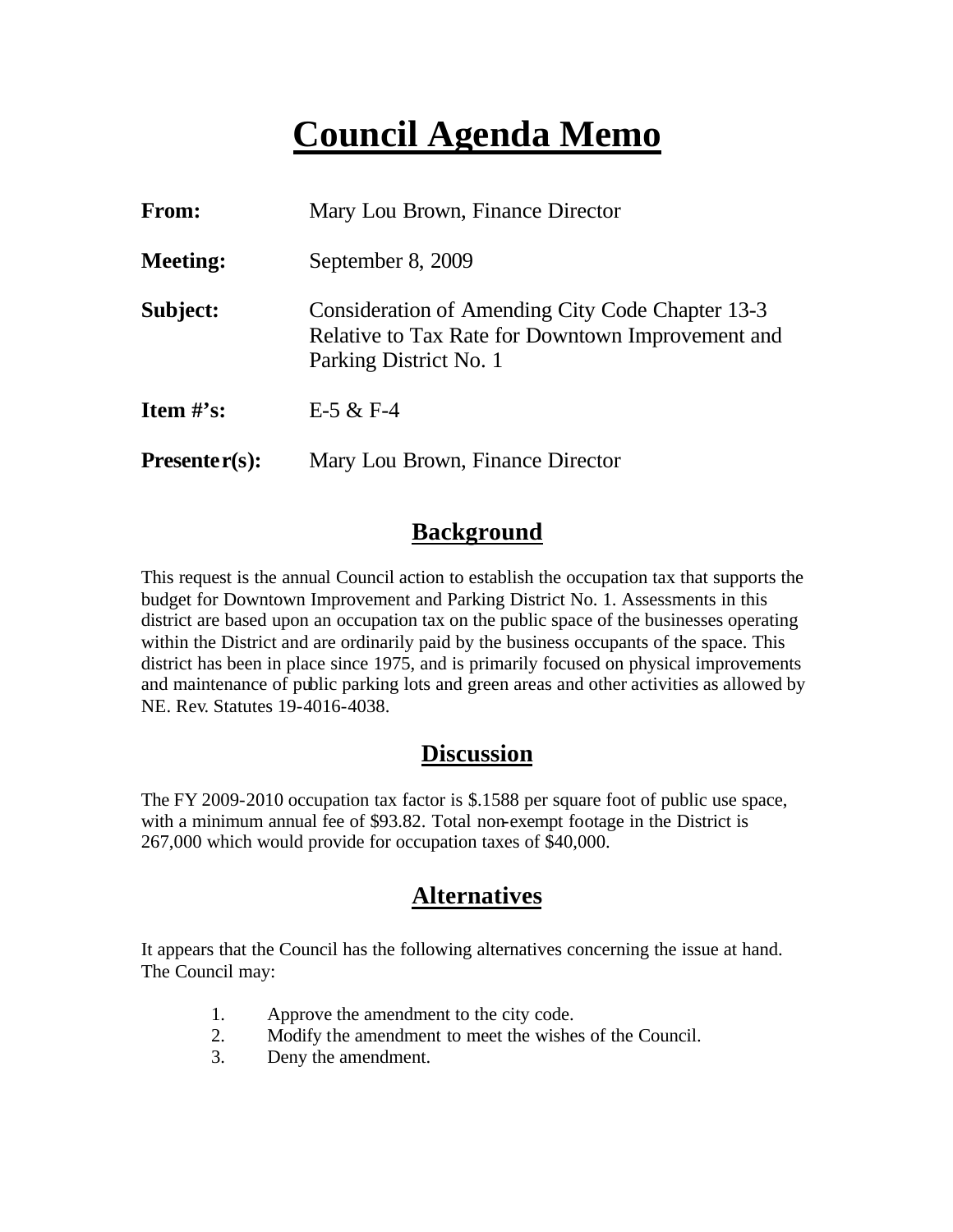# **Council Agenda Memo**

| From:           | Mary Lou Brown, Finance Director                                                                                                |
|-----------------|---------------------------------------------------------------------------------------------------------------------------------|
| <b>Meeting:</b> | September 8, 2009                                                                                                               |
| Subject:        | Consideration of Amending City Code Chapter 13-3<br>Relative to Tax Rate for Downtown Improvement and<br>Parking District No. 1 |
| Item $#$ 's:    | $E-5 & E-4$                                                                                                                     |
| $Presenter(s):$ | Mary Lou Brown, Finance Director                                                                                                |

#### **Background**

This request is the annual Council action to establish the occupation tax that supports the budget for Downtown Improvement and Parking District No. 1. Assessments in this district are based upon an occupation tax on the public space of the businesses operating within the District and are ordinarily paid by the business occupants of the space. This district has been in place since 1975, and is primarily focused on physical improvements and maintenance of public parking lots and green areas and other activities as allowed by NE. Rev. Statutes 19-4016-4038.

#### **Discussion**

The FY 2009-2010 occupation tax factor is \$.1588 per square foot of public use space, with a minimum annual fee of \$93.82. Total non-exempt footage in the District is 267,000 which would provide for occupation taxes of \$40,000.

### **Alternatives**

It appears that the Council has the following alternatives concerning the issue at hand. The Council may:

- 1. Approve the amendment to the city code.
- 2. Modify the amendment to meet the wishes of the Council.
- 3. Deny the amendment.